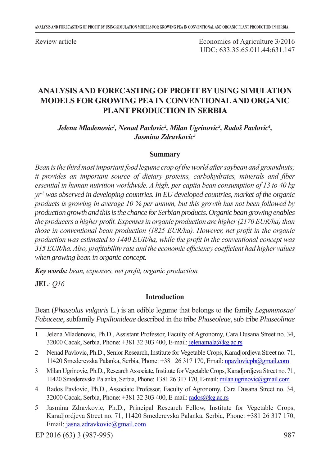Review article

Economics of Agriculture 3/2016 UDC: 633.35:65.011.44:631.147

## **ANALYSIS AND FORECASTING OF PROFIT BY USING SIMULATION MODELS FOR GROWING PEA IN CONVENTIONAL AND ORGANIC PLANT PRODUCTION IN SERBIA**

*Jelena Mladenovic1 , Nenad Pavlovic2 , Milan Ugrinovic<sup>3</sup> , Radoš Pavlovic<sup>4</sup> , Jasmina Zdravkovic<sup>5</sup>*

#### **Summary**

*Bean is the third most important food legume crop of the world after soybean and groundnuts; it provides an important source of dietary proteins, carbohydrates, minerals and fiber essential in human nutrition worldwide. A high, per capita bean consumption of 13 to 40 kg yr-1 was observed in developing countries. In EU developed countries, market of the organic products is growing in average 10 % per annum, but this growth has not been followed by production growth and this is the chance for Serbian products. Organic bean growing enables the producers a higher profit. Expenses in organic production are higher (2170 EUR/ha) than those in conventional bean production (1825 EUR/ha). However, net profit in the organic production was estimated to 1440 EUR/ha, while the profit in the conventional concept was 315 EUR/ha. Also, profitability rate and the economic efficiency coefficient had higher values when growing bean in organic concept.* 

*Key words: bean, expenses, net profit, organic production*

**JEL***: Q16*

#### **Introduction**

Bean (*Phaseolus vulgaris* L.) is an edible legume that belongs to the family *Leguminosae/ Fabaceae*, subfamily *Papilionideae* described in the tribe *Phaseoleae*, sub tribe *Phaseolinae*

- 3 Milan Ugrinovic, Ph.D., Research Associate, Institute for Vegetable Crops, Karadjordjeva Street no. 71, 11420 Smederevska Palanka, Serbia, Phone: +381 26 317 170, E-mail: milan.ugrinovic@gmail.com
- 4 Rados Pavlovic, Ph.D., Associate Professor, Faculty of Agronomy, Cara Dusana Street no. 34, 32000 Cacak, Serbia, Phone: +381 32 303 400, E-mail: rados@kg.ac.rs
- 5 Jasmina Zdravkovic, Ph.D., Principal Research Fellow, Institute for Vegetable Crops, Karadjordjeva Street no. 71, 11420 Smederevska Palanka, Serbia, Phone: +381 26 317 170, Email: jasna.zdravkovic@gmail.com

<sup>1</sup> Jelena Mladenovic, Ph.D., Assistant Professor, Faculty of Agronomy, Cara Dusana Street no. 34, 32000 Cacak, Serbia, Phone: +381 32 303 400, E-mail: jelenamala@kg.ac.rs

<sup>2</sup> Nenad Pavlovic, Ph.D., Senior Research, Institute for Vegetable Crops, Karadjordjeva Street no. 71, 11420 Smederevska Palanka, Serbia, Phone: +381 26 317 170, Email: npavlovicpb@gmail.com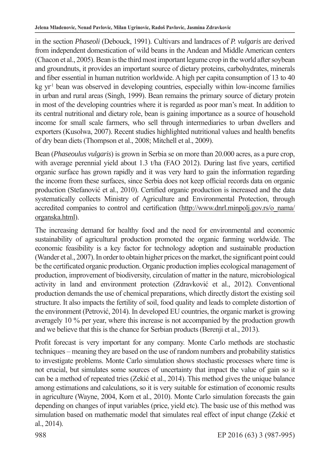in the section *Phaseoli* (Debouck, 1991). Cultivars and landraces of *P. vulgaris* are derived from independent domestication of wild beans in the Andean and Middle American centers (Chacon et al., 2005). Bean is the third most important legume crop in the world after soybean and groundnuts, it provides an important source of dietary proteins, carbohydrates, minerals and fiber essential in human nutrition worldwide. A high per capita consumption of 13 to 40  $kg \ yr<sup>1</sup>$  bean was observed in developing countries, especially within low-income families in urban and rural areas (Singh, 1999). Bean remains the primary source of dietary protein in most of the developing countries where it is regarded as poor man's meat. In addition to its central nutritional and dietary role, bean is gaining importance as a source of household income for small scale farmers, who sell through intermediaries to urban dwellers and exporters (Kusolwa, 2007). Recent studies highlighted nutritional values and health benefits of dry bean diets (Thompson et al., 2008; Mitchell et al., 2009).

Bean (*Phaseoulus vulgaris*) is grown in Serbia se on more than 20.000 acres, as a pure crop, with average perennial yield about 1.3 t/ha (FAO 2012). During last five years, certified organic surface has grown rapidly and it was very hard to gain the information regarding the income from these surfaces, since Serbia does not keep official records data on organic production (Stefanović et al., 2010). Certified organic production is increased and the data systematically collects Ministry of Agriculture and Environmental Protection, through accredited companies to control and certification (http://www.dnrl.minpolj.gov.rs/o\_nama/ organska.html).

The increasing demand for healthy food and the need for environmental and economic sustainability of agricultural production promoted the organic farming worldwide. The economic feasibility is a key factor for technology adoption and sustainable production (Wander et al., 2007). In order to obtain higher prices on the market, the significant point could be the certificated organic production. Organic production implies ecological management of production, improvement of biodiversity, circulation of matter in the nature, microbiological activity in land and environment protection (Zdravković et al., 2012). Conventional production demands the use of chemical preparations, which directly distort the existing soil structure. It also impacts the fertility of soil, food quality and leads to complete distortion of the environment (Petrović, 2014). In developed EU countries, the organic market is growing averagely 10 % per year, where this increase is not accompanied by the production growth and we believe that this is the chance for Serbian products (Berenji et al., 2013).

Profit forecast is very important for any company. Monte Carlo methods are stochastic techniques – meaning they are based on the use of random numbers and probability statistics to investigate problems. Monte Carlo simulation shows stochastic processes where time is not crucial, but simulates some sources of uncertainty that impact the value of gain so it can be a method of repeated tries (Zekić et al., 2014). This method gives the unique balance among estimations and calculations, so it is very suitable for estimation of economic results in agriculture (Wayne, 2004, Korn et al., 2010). Monte Carlo simulation forecasts the gain depending on changes of input variables (price, yield etc). The basic use of this method was simulation based on mathematic model that simulates real effect of input change (Zekić et al., 2014).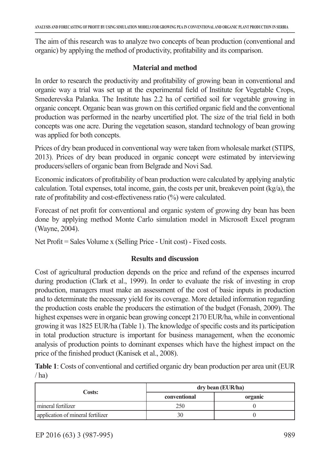The aim of this research was to analyze two concepts of bean production (conventional and organic) by applying the method of productivity, profitability and its comparison.

### **Material and method**

In order to research the productivity and profitability of growing bean in conventional and organic way a trial was set up at the experimental field of Institute for Vegetable Crops, Smederevska Palanka. The Institute has 2.2 ha of certified soil for vegetable growing in organic concept. Organic bean was grown on this certified organic field and the conventional production was performed in the nearby uncertified plot. The size of the trial field in both concepts was one acre. During the vegetation season, standard technology of bean growing was applied for both concepts.

Prices of dry bean produced in conventional way were taken from wholesale market (STIPS, 2013). Prices of dry bean produced in organic concept were estimated by interviewing producers/sellers of organic bean from Belgrade and Novi Sad.

Economic indicators of profitability of bean production were calculated by applying analytic calculation. Total expenses, total income, gain, the costs per unit, breakeven point (kg/a), the rate of profitability and cost-effectiveness ratio (%) were calculated.

Forecast of net profit for conventional and organic system of growing dry bean has been done by applying method Monte Carlo simulation model in Microsoft Excel program (Wayne, 2004).

Net Profit = Sales Volume x (Selling Price - Unit cost) - Fixed costs.

## **Results and discussion**

Cost of agricultural production depends on the price and refund of the expenses incurred during production (Clark et al., 1999). In order to evaluate the risk of investing in crop production, managers must make an assessment of the cost of basic inputs in production and to determinate the necessary yield for its coverage. More detailed information regarding the production costs enable the producers the estimation of the budget (Fonash, 2009). The highest expenses were in organic bean growing concept 2170 EUR/ha, while in conventional growing it was 1825 EUR/ha (Table 1). The knowledge of specific costs and its participation in total production structure is important for business management, when the economic analysis of production points to dominant expenses which have the highest impact on the price of the finished product (Kanisek et al., 2008).

**Table 1**: Costs of conventional and certified organic dry bean production per area unit (EUR  $/$ ha)

|                                   | dry bean (EUR/ha) |         |  |
|-----------------------------------|-------------------|---------|--|
| Costs:                            | conventional      | organic |  |
| mineral fertilizer                | 250               |         |  |
| application of mineral fertilizer | 30                |         |  |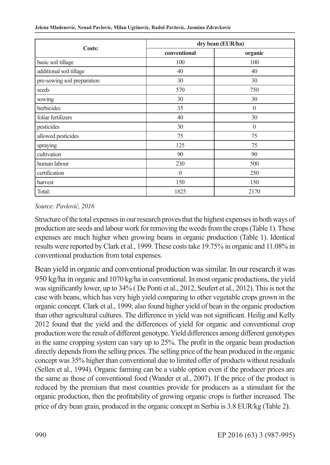| Costs:                      | dry bean (EUR/ha) |          |  |
|-----------------------------|-------------------|----------|--|
|                             | conventional      | organic  |  |
| basic soil tillage          | 100               | 100      |  |
| additional soil tillage     | 40                | 40       |  |
| pre-sowing soil preparation | 30                | 30       |  |
| seeds                       | 570               | 750      |  |
| sowing                      | 30                | 30       |  |
| herbicides                  | 35                | $\theta$ |  |
| foliar fertilizers          | 40                | 30       |  |
| pesticides                  | 30                | $\theta$ |  |
| allowed pesticides          | 75                | 75       |  |
| spraying                    | 125               | 75       |  |
| cultivation                 | 90                | 90       |  |
| human labour                | 230               | 500      |  |
| certification               | $\theta$<br>250   |          |  |
| harvest                     | 150<br>150        |          |  |
| Total:                      | 1825              | 2170     |  |

#### **Jelena Mladenovic, Nenad Pavlovic, Milan Ugrinovic, Radoš Pavlovic, Jasmina Zdravkovic**

#### *Source: Pavlović, 2016*

Structure of the total expenses in our research proves that the highest expenses in both ways of production are seeds and labour work for removing the weeds from the crops (Table 1). These expenses are much higher when growing beans in organic production (Table 1). Identical results were reported by Clark et al., 1999. These costs take 19.75% in organic and 11.08% in conventional production from total expenses.

Bean yield in organic and conventional production was similar. In our research it was 950 kg/ha in organic and 1070 kg/ha in conventional. In most organic productions, the yield was significantly lower, up to 34% ( De Ponti et al., 2012, Seufert et al., 2012). This is not the case with beans, which has very high yield comparing to other vegetable crops grown in the organic concept. Clark et al., 1999, also found higher yield of bean in the organic production than other agricultural cultures. The difference in yield was not significant. Heilig and Kelly 2012 found that the yield and the differences of yield for organic and conventional crop production were the result of different genotype. Yield differences among different genotypes in the same cropping system can vary up to 25%. The profit in the organic bean production directly depends from the selling prices. The selling price of the bean produced in the organic concept was 35% higher than conventional due to limited offer of products without residuals (Sellen et al., 1994). Organic farming can be a viable option even if the producer prices are the same as those of conventional food (Wander et al., 2007). If the price of the product is reduced by the premium that most countries provide for producers as a stimulant for the organic production, then the profitability of growing organic crops is further increased. The price of dry bean grain, produced in the organic concept in Serbia is 3.8 EUR/kg (Table 2).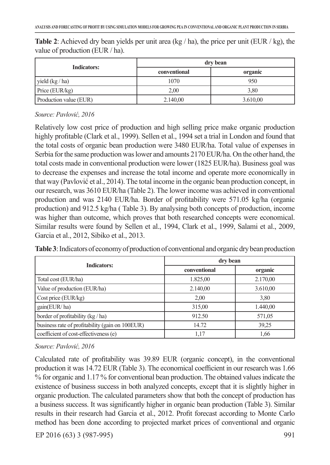| <b>Indicators:</b>     | dry bean     |          |  |
|------------------------|--------------|----------|--|
|                        | conventional | organic  |  |
| yield (kg / ha)        | 1070         | 950      |  |
| Price (EUR/kg)         | 2,00         | 3,80     |  |
| Production value (EUR) | 2.140,00     | 3.610,00 |  |

**Table 2**: Achieved dry bean yields per unit area (kg / ha), the price per unit (EUR / kg), the value of production (EUR / ha).

### *Source: Pavlović, 2016*

Relatively low cost price of production and high selling price make organic production highly profitable (Clark et al., 1999). Sellen et al., 1994 set a trial in London and found that the total costs of organic bean production were 3480 EUR/ha. Total value of expenses in Serbia for the same production was lower and amounts 2170 EUR/ha. On the other hand, the total costs made in conventional production were lower (1825 EUR/ha). Business goal was to decrease the expenses and increase the total income and operate more economically in that way (Pavlović et al., 2014). The total income in the organic bean production concept, in our research, was 3610 EUR/ha (Table 2). The lower income was achieved in conventional production and was 2140 EUR/ha. Border of profitability were 571.05 kg/ha (organic production) and 912.5 kg/ha ( Table 3). By analysing both concepts of production, income was higher than outcome, which proves that both researched concepts were economical. Similar results were found by Sellen et al., 1994, Clark et al., 1999, Salami et al., 2009, Garcia et al., 2012, Sibiko et al., 2013.

| <b>Indicators:</b>                              | dry bean     |          |  |
|-------------------------------------------------|--------------|----------|--|
|                                                 | conventional | organic  |  |
| Total cost (EUR/ha)                             | 1.825,00     | 2.170,00 |  |
| Value of production (EUR/ha)                    | 2.140,00     | 3.610,00 |  |
| Cost price (EUR/kg)                             | 2,00         | 3,80     |  |
| gain(EUR/ha)                                    | 315,00       | 1.440,00 |  |
| border of profitability (kg / ha)               | 912.50       | 571,05   |  |
| business rate of profitability (gain on 100EUR) | 14.72        | 39,25    |  |
| coefficient of cost-effectiveness (e)           | 1,17         | 1,66     |  |

**Table 3**: Indicators of economy of production of conventional and organic dry bean production

### *Source: Pavlović, 2016*

Calculated rate of profitability was 39.89 EUR (organic concept), in the conventional production it was 14.72 EUR (Table 3). The economical coefficient in our research was 1.66 % for organic and 1.17 % for conventional bean production. The obtained values indicate the existence of business success in both analyzed concepts, except that it is slightly higher in organic production. The calculated parameters show that both the concept of production has a business success. It was significantly higher in organic bean production (Table 3). Similar results in their research had Garcia et al., 2012. Profit forecast according to Monte Carlo method has been done according to projected market prices of conventional and organic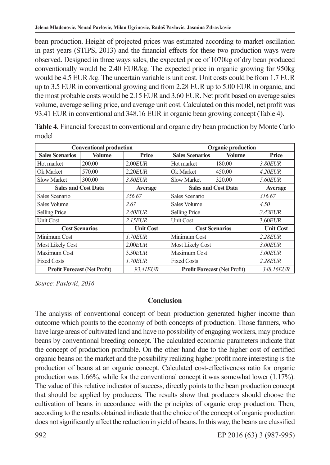bean production. Height of projected prices was estimated according to market oscillation in past years (STIPS, 2013) and the financial effects for these two production ways were observed. Designed in three ways sales, the expected price of 1070kg of dry bean produced conventionally would be 2.40 EUR/kg. The expected price in organic growing for 950kg would be 4.5 EUR /kg. The uncertain variable is unit cost. Unit costs could be from 1.7 EUR up to 3.5 EUR in conventional growing and from 2.28 EUR up to 5.00 EUR in organic, and the most probable costs would be 2.15 EUR and 3.60 EUR. Net profit based on average sales volume, average selling price, and average unit cost. Calculated on this model, net profit was 93.41 EUR in conventional and 348.16 EUR in organic bean growing concept (Table 4).

| <b>Conventional production</b>      |               | <b>Organic production</b> |                                     |               |                   |
|-------------------------------------|---------------|---------------------------|-------------------------------------|---------------|-------------------|
| <b>Sales Scenarios</b>              | <b>Volume</b> | Price                     | <b>Sales Scenarios</b>              | <b>Volume</b> | Price             |
| Hot market                          | 200.00        | $2.00$ <i>EUR</i>         | Hot market                          | 180.00        | 3.80EUR           |
| Ok Market                           | 570.00        | $2.20$ <i>EUR</i>         | Ok Market                           | 450.00        | 4.20EUR           |
| <b>Slow Market</b>                  | 300.00        | 3.80EUR                   | <b>Slow Market</b>                  | 320.00        | 5.60EUR           |
| <b>Sales and Cost Data</b>          |               | Average                   | <b>Sales and Cost Data</b>          |               | Average           |
| Sales Scenario                      |               | 356.67                    | Sales Scenario                      |               | 316.67            |
| Sales Volume                        |               | 2.67                      | Sales Volume                        |               | 4.50              |
| Selling Price                       |               | $2.40$ EUR                | Selling Price                       |               | 3.43EUR           |
| Unit Cost                           |               | $2.15$ <i>EUR</i>         | <b>Unit Cost</b>                    |               | $3.60$ <i>EUR</i> |
| <b>Cost Scenarios</b>               |               | <b>Unit Cost</b>          | <b>Cost Scenarios</b>               |               | <b>Unit Cost</b>  |
| Minimum Cost                        |               | 1.70EUR                   | Minimum Cost                        |               | 2.28EUR           |
| Most Likely Cost                    |               | $2.00$ <i>EUR</i>         | Most Likely Cost                    |               | 3.00EUR           |
| Maximum Cost                        |               | 3.50EUR                   | Maximum Cost                        |               | 5.00EUR           |
| <b>Fixed Costs</b>                  |               | 1.70EUR                   | <b>Fixed Costs</b>                  |               | 2.28EUR           |
| <b>Profit Forecast (Net Profit)</b> |               | 93.41EUR                  | <b>Profit Forecast (Net Profit)</b> |               | 348.16EUR         |

**Table 4.** Financial forecast to conventional and organic dry bean production by Monte Carlo model

*Source: Pavlović, 2016*

### **Conclusion**

The analysis of conventional concept of bean production generated higher income than outcome which points to the economy of both concepts of production. Those farmers, who have large areas of cultivated land and have no possibility of engaging workers, may produce beans by conventional breeding concept. The calculated economic parameters indicate that the concept of production profitable. On the other hand due to the higher cost of certified organic beans on the market and the possibility realizing higher profit more interesting is the production of beans at an organic concept. Calculated cost-effectiveness ratio for organic production was 1.66%, while for the conventional concept it was somewhat lower (1.17%). The value of this relative indicator of success, directly points to the bean production concept that should be applied by producers. The results show that producers should choose the cultivation of beans in accordance with the principles of organic crop production. Then, according to the results obtained indicate that the choice of the concept of organic production does not significantly affect the reduction in yield of beans. In this way, the beans are classified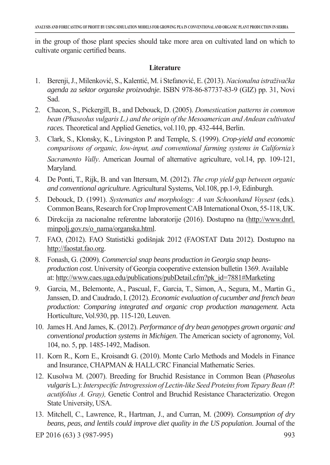in the group of those plant species should take more area on cultivated land on which to cultivate organic certified beans.

#### **Literature**

- 1. Berenji, J., Milenković, S., Kalentić, M. i Stefanović, E. (2013). *Nacionalna istraživačka agenda za sektor organske proizvodnje.* ISBN 978-86-87737-83-9 (GIZ) pp. 31, Novi Sad.
- 2. Chacon, S., Pickergill, B., and Debouck, D. (2005). *Domestication patterns in common bean (Phaseolus vulgaris L.) and the origin of the Mesoamerican and Andean cultivated races.* Theoretical and Applied Genetics, vol.110, pp. 432-444, Berlin.
- 3. Clark, S., Klonsky, K., Livingston P. and Temple, S. (1999). *Crop-yield and economic comparisons of organic, low-input, and conventional farming systems in California's Sacramento Vally*. American Journal of alternative agriculture, vol.14, pp. 109-121, Maryland.
- 4. De Ponti, T., Rijk, B. and van Ittersum, M. (2012). *The crop yield gap between organic and conventional agriculture.*Agricultural Systems, Vol.108, pp.1-9, Edinburgh.
- 5. Debouck, D. (1991). *Systematics and morphology: A van Schoonhand Voysest* (eds.). Common Beans, Research for Crop Improvement CAB International Oxon, 55-118, UK.
- 6. Direkcija za nacionalne referentne laboratorije (2016). Dostupno na (http://www.dnrl. minpolj.gov.rs/o\_nama/organska.html.
- 7. FAO, (2012). FAO Statistički godišnjak 2012 (FAOSTAT Data 2012). Dostupno na http://faostat.fao.org.
- 8. Fonash, G. (2009). *Commercial snap beans production in Georgia snap beansproduction cost*. University of Georgia cooperative extension bulletin 1369. Available at: http://www.caes.uga.edu/publications/pubDetail.cfm?pk\_id=7881#Marketing
- 9. Garcia, M., Belemonte, A., Pascual, F., Garcia, T., Simon, A., Segura, M., Martin G., Janssen, D. and Caudrado, I. (2012). *Economic evaluation of cucumber and french bean production: Comparing integrated and organic crop production management.* Acta Horticulture, Vol.930, pp. 115-120, Leuven.
- 10. James H. And James, K. (2012). *Performance of dry bean genotypes grown organic and conventional production systems in Michigen*. The American society of agronomy, Vol. 104, no. 5, pp. 1485-1492, Madison.
- 11. Korn R., Korn E., Kroisandt G. (2010). Monte Carlo Methods and Models in Finance and Insurance, CHAPMAN & HALL/CRC Financial Mathematic Series.
- 12. Kusolwa M. (2007). Breeding for Bruchid Resistance in Common Bean (*Phaseolus vulgaris* L.): *Interspecific Introgression of Lectin-like Seed Proteins from Tepary Bean (P. acutifolius A. Gray),* Genetic Control and Bruchid Resistance Characterizatio. Oregon State University, USA.
- 13. Mitchell, C., Lawrence, R., Hartman, J., and Curran, M. (2009). *Consumption of dry beans, peas, and lentils could improve diet quality in the US population*. Journal of the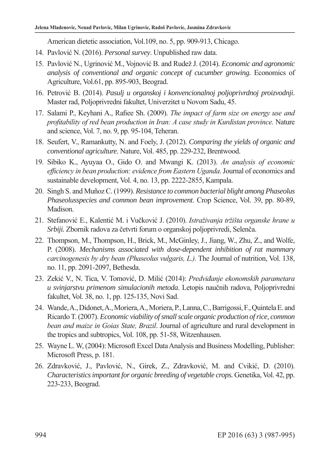American dietetic association, Vol.109, no. 5, pp. 909-913, Chicago.

- 14. Pavlović N. (2016). *Personal survey*. Unpublished raw data.
- 15. Pavlović N., Ugrinović M., Vojnović B. and Rudež J. (2014). *Economic and agronomic analysis of conventional and organic concept of cucumber growing.* Economics of Agriculture, Vol.61, pp. 895-903, Beograd.
- 16. Petrović B. (2014). *Pasulj u organskoj i konvencionalnoj poljoprivrdnoj proizvodnji*. Master rad, Poljoprivredni fakultet, Univerzitet u Novom Sadu, 45.
- 17. Salami P., Keyhani A., Rafiee Sh. (2009). *The impact of farm size on energy use and profitability of red bean production in Iran: A case study in Kurdistan province.* Nature and science, Vol. 7, no. 9, pp. 95-104, Teheran.
- 18. Seufert, V., Ramankutty, N. and Foely, J. (2012). *Comparing the yields of organic and conventional agriculture*. Nature, Vol. 485, pp. 229-232, Brentwood.
- 19. Sibiko K., Ayuyaa O., Gido O. and Mwangi K. (2013). *An analysis of economic efficiency in bean production: evidence from Eastern Uganda*. Journal of economics and sustainable development, Vol. 4, no. 13, pp. 2222-2855, Kampala.
- 20. Singh S. and Muñoz C. (1999). *Resistance to common bacterial blight among Phaseolus Phaseolusspecies and common bean improvement*. Crop Science, Vol. 39, pp. 80-89, Madison.
- 21. Stefanović E., Kalentić M. i Vučković J. (2010). *Istraživanja tržišta organske hrane u Srbiji.* Zbornik radova za četvrti forum o organskoj poljoprivredi, Selenča.
- 22. Thompson, M., Thompson, H., Brick, M., McGinley, J., Jiang, W., Zhu, Z., and Wolfe, P. (2008). *Mechanisms associated with dose-dependent inhibition of rat mammary carcinogenesis by dry bean (Phaseolus vulgaris, L.).* The Journal of nutrition, Vol. 138, no. 11, pp. 2091-2097, Bethesda.
- 23. Zekić V., N. Tica, V. Tomović, D. Milić (2014): *Predviđanje ekonomskih parametara u svinjarstvu primenom simulacionih metoda*. Letopis naučnih radova, Poljoprivredni fakultet, Vol. 38, no. 1, pp. 125-135, Novi Sad.
- 24. Wande, A., Didonet, A., Moriera, A., Moriera, P., Lanna, C., Barrigossi, F., Quintela E. and Ricardo T. (2007). *Economic viability of small scale organic production of rice, common bean and maize in Goias State, Brazil*. Journal of agriculture and rural development in the tropics and subtropics, Vol. 108, pp. 51-58, Witzenhausen.
- 25. Wayne L. W, (2004): Microsoft Excel Data Analysis and Business Modelling, Publisher: Microsoft Press, p. 181.
- 26. Zdravković, J., Pavlović, N., Girek, Z., Zdravković, M. and Cvikić, D. (2010). *Characteristics important for organic breeding of vegetable crops.* Genetika, Vol. 42, pp. 223-233, Beograd.